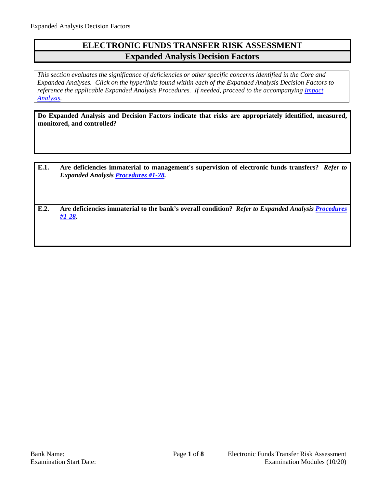## **ELECTRONIC FUNDS TRANSFER RISK ASSESSMENT Expanded Analysis Decision Factors**

*This section evaluates the significance of deficiencies or other specific concerns identified in the Core and Expanded Analyses. Click on the hyperlinks found within each of the Expanded Analysis Decision Factors to reference the applicable Expanded Analysis Procedures. If needed, proceed to the accompanying Impact [Analysis.](#page-7-0)* 

**Do Expanded Analysis and Decision Factors indicate that risks are appropriately identified, measured, monitored, and controlled?**

**E.1. Are deficiencies immaterial to management's supervision of electronic funds transfers?** *Refer to Expanded Analysis [Procedures #1-28.](#page-1-0)*

**E.2. Are deficiencies immaterial to the bank's overall condition?** *Refer to Expanded Analysis [Procedures](#page-1-0)  [#1-28.](#page-1-0)*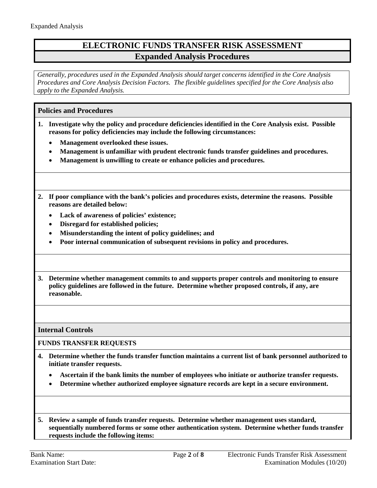## **ELECTRONIC FUNDS TRANSFER RISK ASSESSMENT Expanded Analysis Procedures**

*Generally, procedures used in the Expanded Analysis should target concerns identified in the Core Analysis Procedures and Core Analysis Decision Factors. The flexible guidelines specified for the Core Analysis also apply to the Expanded Analysis.*

<span id="page-1-0"></span>**Policies and Procedures**

- **1. Investigate why the policy and procedure deficiencies identified in the Core Analysis exist. Possible reasons for policy deficiencies may include the following circumstances:**
	- **Management overlooked these issues.**
	- **Management is unfamiliar with prudent electronic funds transfer guidelines and procedures.**
	- **Management is unwilling to create or enhance policies and procedures.**
- **2. If poor compliance with the bank's policies and procedures exists, determine the reasons. Possible reasons are detailed below:**
	- **Lack of awareness of policies' existence;**
	- **Disregard for established policies;**
	- **Misunderstanding the intent of policy guidelines; and**
	- **Poor internal communication of subsequent revisions in policy and procedures.**
- **3. Determine whether management commits to and supports proper controls and monitoring to ensure policy guidelines are followed in the future. Determine whether proposed controls, if any, are reasonable.**

**Internal Controls**

**FUNDS TRANSFER REQUESTS**

- **4. Determine whether the funds transfer function maintains a current list of bank personnel authorized to initiate transfer requests.**
	- **Ascertain if the bank limits the number of employees who initiate or authorize transfer requests.**
	- **Determine whether authorized employee signature records are kept in a secure environment.**
- **5. Review a sample of funds transfer requests. Determine whether management uses standard, sequentially numbered forms or some other authentication system. Determine whether funds transfer requests include the following items:**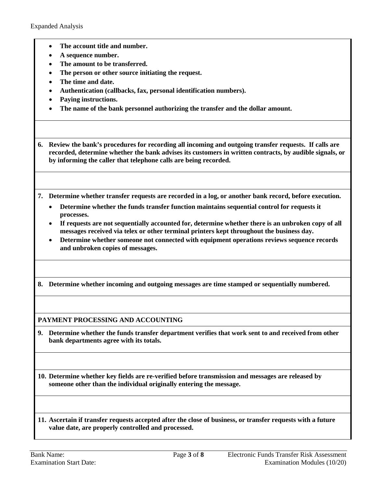- **The account title and number.**
- **A sequence number.**
- **The amount to be transferred.**
- **The person or other source initiating the request.**
- **The time and date.**
- **Authentication (callbacks, fax, personal identification numbers).**
- **Paying instructions.**
- **The name of the bank personnel authorizing the transfer and the dollar amount.**

**6. Review the bank's procedures for recording all incoming and outgoing transfer requests. If calls are recorded, determine whether the bank advises its customers in written contracts, by audible signals, or by informing the caller that telephone calls are being recorded.**

**7. Determine whether transfer requests are recorded in a log, or another bank record, before execution.**

- **Determine whether the funds transfer function maintains sequential control for requests it processes.**
- **If requests are not sequentially accounted for, determine whether there is an unbroken copy of all messages received via telex or other terminal printers kept throughout the business day.**
- **Determine whether someone not connected with equipment operations reviews sequence records and unbroken copies of messages.**
- **8. Determine whether incoming and outgoing messages are time stamped or sequentially numbered.**

**PAYMENT PROCESSING AND ACCOUNTING**

**9. Determine whether the funds transfer department verifies that work sent to and received from other bank departments agree with its totals.**

**10. Determine whether key fields are re-verified before transmission and messages are released by someone other than the individual originally entering the message.**

**11. Ascertain if transfer requests accepted after the close of business, or transfer requests with a future value date, are properly controlled and processed.**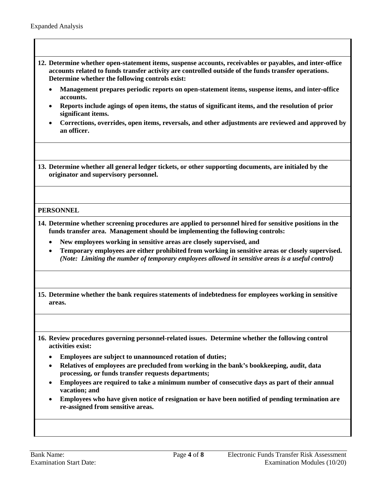- **12. Determine whether open-statement items, suspense accounts, receivables or payables, and inter-office accounts related to funds transfer activity are controlled outside of the funds transfer operations. Determine whether the following controls exist:**
	- **Management prepares periodic reports on open-statement items, suspense items, and inter-office accounts.**
	- **Reports include agings of open items, the status of significant items, and the resolution of prior significant items.**
	- **Corrections, overrides, open items, reversals, and other adjustments are reviewed and approved by an officer.**

**13. Determine whether all general ledger tickets, or other supporting documents, are initialed by the originator and supervisory personnel.**

### **PERSONNEL**

- **14. Determine whether screening procedures are applied to personnel hired for sensitive positions in the funds transfer area. Management should be implementing the following controls:**
	- **New employees working in sensitive areas are closely supervised, and**
	- **Temporary employees are either prohibited from working in sensitive areas or closely supervised.**  *(Note: Limiting the number of temporary employees allowed in sensitive areas is a useful control)*
- **15. Determine whether the bank requires statements of indebtedness for employees working in sensitive areas.**
- **16. Review procedures governing personnel-related issues. Determine whether the following control activities exist:**
	- **Employees are subject to unannounced rotation of duties;**
	- **Relatives of employees are precluded from working in the bank's bookkeeping, audit, data processing, or funds transfer requests departments;**
	- **Employees are required to take a minimum number of consecutive days as part of their annual vacation; and**
	- **Employees who have given notice of resignation or have been notified of pending termination are re-assigned from sensitive areas.**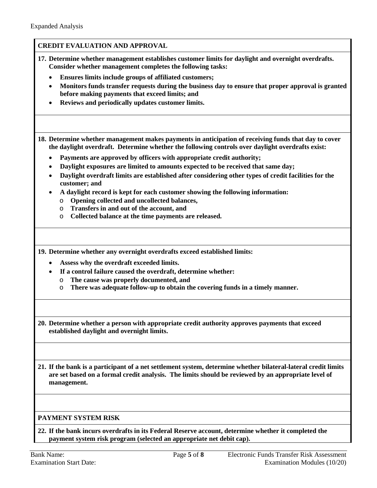|                | <b>CREDIT EVALUATION AND APPROVAL</b>                                                                                                                                                                                                                                                                                              |
|----------------|------------------------------------------------------------------------------------------------------------------------------------------------------------------------------------------------------------------------------------------------------------------------------------------------------------------------------------|
|                | 17. Determine whether management establishes customer limits for daylight and overnight overdrafts.<br>Consider whether management completes the following tasks:                                                                                                                                                                  |
|                | Ensures limits include groups of affiliated customers;                                                                                                                                                                                                                                                                             |
| ٠              | Monitors funds transfer requests during the business day to ensure that proper approval is granted<br>before making payments that exceed limits; and                                                                                                                                                                               |
|                | Reviews and periodically updates customer limits.                                                                                                                                                                                                                                                                                  |
|                | 18. Determine whether management makes payments in anticipation of receiving funds that day to cover<br>the daylight overdraft. Determine whether the following controls over daylight overdrafts exist:                                                                                                                           |
|                |                                                                                                                                                                                                                                                                                                                                    |
|                | Payments are approved by officers with appropriate credit authority;                                                                                                                                                                                                                                                               |
| ٠              | Daylight exposures are limited to amounts expected to be received that same day;                                                                                                                                                                                                                                                   |
| $\bullet$      | Daylight overdraft limits are established after considering other types of credit facilities for the<br>customer; and                                                                                                                                                                                                              |
|                | A daylight record is kept for each customer showing the following information:                                                                                                                                                                                                                                                     |
|                | Opening collected and uncollected balances,<br>$\circ$                                                                                                                                                                                                                                                                             |
|                | Transfers in and out of the account, and<br>$\circ$                                                                                                                                                                                                                                                                                |
|                | Collected balance at the time payments are released.<br>O                                                                                                                                                                                                                                                                          |
| ٠<br>$\bullet$ | 19. Determine whether any overnight overdrafts exceed established limits:<br>Assess why the overdraft exceeded limits.<br>If a control failure caused the overdraft, determine whether:<br>The cause was properly documented, and<br>$\circ$<br>There was adequate follow-up to obtain the covering funds in a timely manner.<br>O |
|                | 20. Determine whether a person with appropriate credit authority approves payments that exceed<br>established daylight and overnight limits.                                                                                                                                                                                       |
|                | 21. If the bank is a participant of a net settlement system, determine whether bilateral-lateral credit limits<br>are set based on a formal credit analysis. The limits should be reviewed by an appropriate level of<br>management.                                                                                               |
|                | PAYMENT SYSTEM RISK                                                                                                                                                                                                                                                                                                                |
|                |                                                                                                                                                                                                                                                                                                                                    |
|                | 22. If the bank incurs overdrafts in its Federal Reserve account, determine whether it completed the<br>payment system risk program (selected an appropriate net debit cap).                                                                                                                                                       |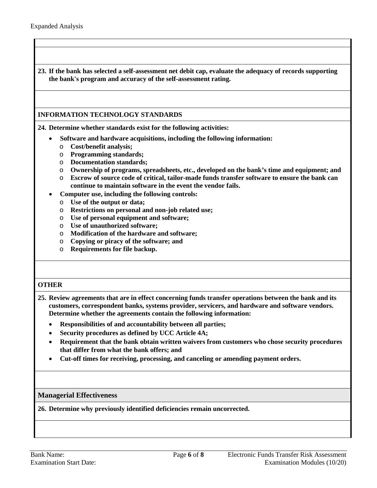**23. If the bank has selected a self-assessment net debit cap, evaluate the adequacy of records supporting the bank's program and accuracy of the self-assessment rating.**

**INFORMATION TECHNOLOGY STANDARDS**

**24. Determine whether standards exist for the following activities:**

- **Software and hardware acquisitions, including the following information:**
	- o **Cost/benefit analysis;**
	- o **Programming standards;**
	- o **Documentation standards;**
	- o **Ownership of programs, spreadsheets, etc., developed on the bank's time and equipment; and**
	- o **Escrow of source code of critical, tailor-made funds transfer software to ensure the bank can continue to maintain software in the event the vendor fails.**
- **Computer use, including the following controls:**
	- o **Use of the output or data;**
	- o **Restrictions on personal and non-job related use;**
	- o **Use of personal equipment and software;**
	- o **Use of unauthorized software;**
	- o **Modification of the hardware and software;**
	- o **Copying or piracy of the software; and**
	- o **Requirements for file backup.**

#### **OTHER**

- **25. Review agreements that are in effect concerning funds transfer operations between the bank and its customers, correspondent banks, systems provider, servicers, and hardware and software vendors. Determine whether the agreements contain the following information:**
	- **Responsibilities of and accountability between all parties;**
	- **Security procedures as defined by UCC Article 4A;**
	- **Requirement that the bank obtain written waivers from customers who chose security procedures that differ from what the bank offers; and**
	- **Cut-off times for receiving, processing, and canceling or amending payment orders.**

**Managerial Effectiveness**

**26. Determine why previously identified deficiencies remain uncorrected.**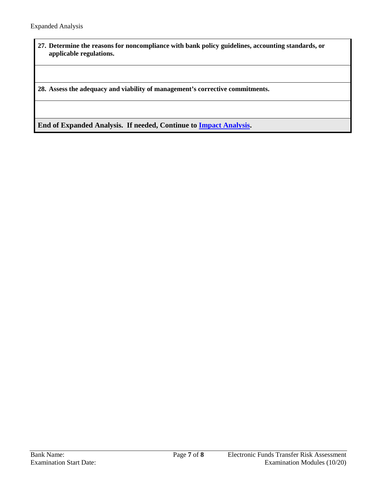**27. Determine the reasons for noncompliance with bank policy guidelines, accounting standards, or applicable regulations.**

**28. Assess the adequacy and viability of management's corrective commitments.**

**End of Expanded Analysis. If needed, Continue to [Impact Analysis.](#page-7-0)**